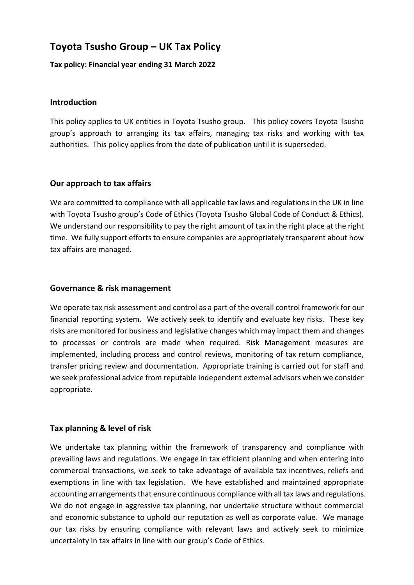# Toyota Tsusho Group – UK Tax Policy

Tax policy: Financial year ending 31 March 2022

# Introduction

This policy applies to UK entities in Toyota Tsusho group. This policy covers Toyota Tsusho group's approach to arranging its tax affairs, managing tax risks and working with tax authorities. This policy applies from the date of publication until it is superseded.

# Our approach to tax affairs

We are committed to compliance with all applicable tax laws and regulations in the UK in line with Toyota Tsusho group's Code of Ethics (Toyota Tsusho Global Code of Conduct & Ethics). We understand our responsibility to pay the right amount of tax in the right place at the right time. We fully support efforts to ensure companies are appropriately transparent about how tax affairs are managed.

#### Governance & risk management

We operate tax risk assessment and control as a part of the overall control framework for our financial reporting system. We actively seek to identify and evaluate key risks. These key risks are monitored for business and legislative changes which may impact them and changes to processes or controls are made when required. Risk Management measures are implemented, including process and control reviews, monitoring of tax return compliance, transfer pricing review and documentation. Appropriate training is carried out for staff and we seek professional advice from reputable independent external advisors when we consider appropriate.

# Tax planning & level of risk

We undertake tax planning within the framework of transparency and compliance with prevailing laws and regulations. We engage in tax efficient planning and when entering into commercial transactions, we seek to take advantage of available tax incentives, reliefs and exemptions in line with tax legislation. We have established and maintained appropriate accounting arrangements that ensure continuous compliance with all tax laws and regulations. We do not engage in aggressive tax planning, nor undertake structure without commercial and economic substance to uphold our reputation as well as corporate value. We manage our tax risks by ensuring compliance with relevant laws and actively seek to minimize uncertainty in tax affairs in line with our group's Code of Ethics.